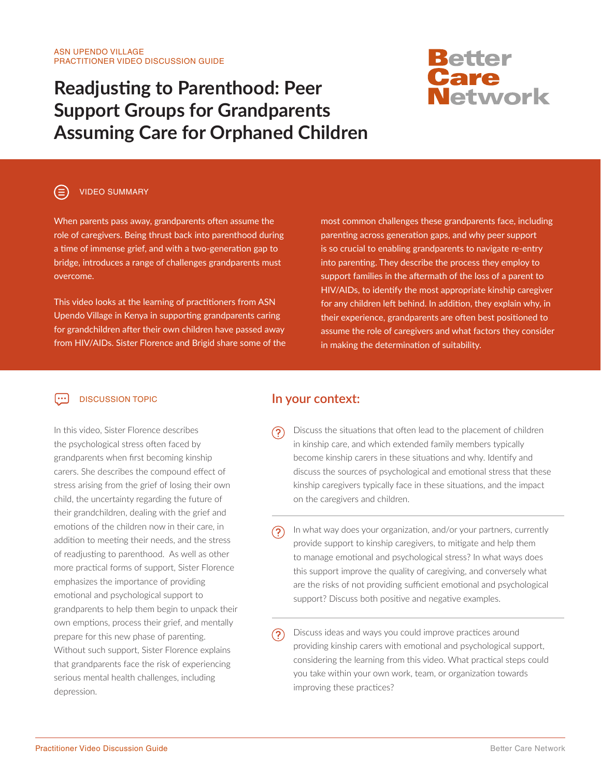## **Readjusting to Parenthood: Peer Support Groups for Grandparents Assuming Care for Orphaned Children**

# <mark>Better</mark><br>Care<br>Network

## VIDEO SUMMARY

When parents pass away, grandparents often assume the role of caregivers. Being thrust back into parenthood during a time of immense grief, and with a two-generation gap to bridge, introduces a range of challenges grandparents must overcome.

This video looks at the learning of practitioners from ASN Upendo Village in Kenya in supporting grandparents caring for grandchildren after their own children have passed away from HIV/AIDs. Sister Florence and Brigid share some of the most common challenges these grandparents face, including parenting across generation gaps, and why peer support is so crucial to enabling grandparents to navigate re-entry into parenting. They describe the process they employ to support families in the aftermath of the loss of a parent to HIV/AIDs, to identify the most appropriate kinship caregiver for any children left behind. In addition, they explain why, in their experience, grandparents are often best positioned to assume the role of caregivers and what factors they consider in making the determination of suitability.

#### $\lceil \cdots \rceil$ DISCUSSION TOPIC

In this video, Sister Florence describes the psychological stress often faced by grandparents when first becoming kinship carers. She describes the compound effect of stress arising from the grief of losing their own child, the uncertainty regarding the future of their grandchildren, dealing with the grief and emotions of the children now in their care, in addition to meeting their needs, and the stress of readjusting to parenthood. As well as other more practical forms of support, Sister Florence emphasizes the importance of providing emotional and psychological support to grandparents to help them begin to unpack their own emptions, process their grief, and mentally prepare for this new phase of parenting. Without such support, Sister Florence explains that grandparents face the risk of experiencing serious mental health challenges, including depression.

## **In your context:**

- <u>(၃)</u> Discuss the situations that often lead to the placement of children in kinship care, and which extended family members typically become kinship carers in these situations and why. Identify and discuss the sources of psychological and emotional stress that these kinship caregivers typically face in these situations, and the impact on the caregivers and children.
	- In what way does your organization, and/or your partners, currently provide support to kinship caregivers, to mitigate and help them to manage emotional and psychological stress? In what ways does this support improve the quality of caregiving, and conversely what are the risks of not providing sufficient emotional and psychological support? Discuss both positive and negative examples.
- Discuss ideas and ways you could improve practices around (၁) providing kinship carers with emotional and psychological support, considering the learning from this video. What practical steps could you take within your own work, team, or organization towards improving these practices?